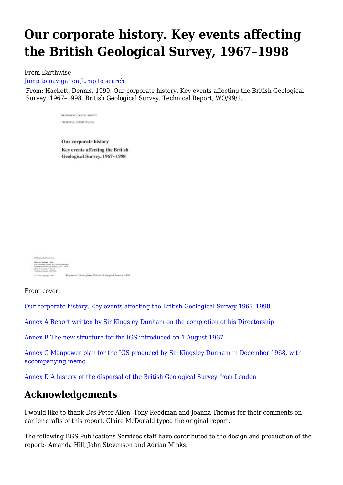# **Our corporate history. Key events affecting the British Geological Survey, 1967–1998**

#### From Earthwise

[Jump to navigation](#page--1-0) [Jump to search](#page--1-0)

From: Hackett, Dennis. 1999. Our corporate history. Key events affecting the British Geological Survey, 1967–1998. British Geological Survey. Technical Report, WQ/99/1.

> BRITISH CENT OCNTAL SUBVEY TECHNICAL REPORT WO/991

Our corporate history Key events affecting the British Geological Survey, 1967-1998

Arthur which reference Hashelt, Businic, 1999<br>One composes Schery, Toy oversic of buting<br>the Diracult Goodegand Scores, 1997, 1998<br>Francisco Chipper, 1997<br>Francisco Chipper, 1997, 1998 Keyworth, Nottingham British Geological Survey 1999 in 1980' convenient times

Front cover.

[Our corporate history. Key events affecting the British Geological Survey 1967–1998](http://earthwise.bgs.ac.uk/index.php/Our_corporate_history._Key_events_affecting_the_British_Geological_Survey_1967%E2%80%931998_(report))

[Annex A Report written by Sir Kingsley Dunham on the completion of his Directorship](http://earthwise.bgs.ac.uk/index.php/Report_written_by_Sir_Kingsley_Dunham_on_the_completion_of_his_Directorship_1967-1975)

[Annex B The new structure for the IGS introduced on 1 August 1967](http://earthwise.bgs.ac.uk/index.php/New_structure_for_the_IGS_introduced_on_1_August_1967)

[Annex C Manpower plan for the IGS produced by Sir Kingsley Dunham in December 1968, with](http://earthwise.bgs.ac.uk/index.php/Manpower_plan_for_the_IGS_produced_by_Sir_Kingsley_Dunham_in_December_1968,_with_accompanying_memo) [accompanying memo](http://earthwise.bgs.ac.uk/index.php/Manpower_plan_for_the_IGS_produced_by_Sir_Kingsley_Dunham_in_December_1968,_with_accompanying_memo)

[Annex D A history of the dispersal of the British Geological Survey from London](http://earthwise.bgs.ac.uk/index.php/History_of_the_dispersal_of_the_British_Geological_Survey_from_London)

## **Acknowledgements**

I would like to thank Drs Peter Allen, Tony Reedman and Joanna Thomas for their comments on earlier drafts of this report. Claire McDonald typed the original report.

The following BGS Publications Services staff have contributed to the design and production of the report:- Amanda Hill, John Stevenson and Adrian Minks.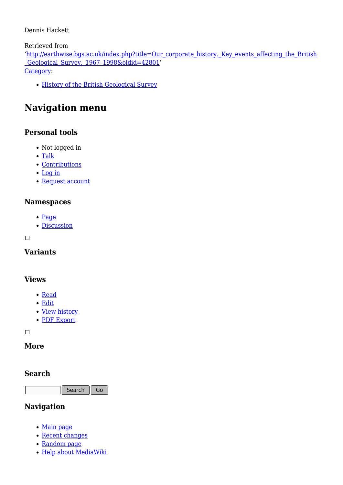#### Dennis Hackett

Retrieved from

'[http://earthwise.bgs.ac.uk/index.php?title=Our\\_corporate\\_history.\\_Key\\_events\\_affecting\\_the\\_British](http://earthwise.bgs.ac.uk/index.php?title=Our_corporate_history._Key_events_affecting_the_British_Geological_Survey,_1967–1998&oldid=42801) [\\_Geological\\_Survey,\\_1967–1998&oldid=42801](http://earthwise.bgs.ac.uk/index.php?title=Our_corporate_history._Key_events_affecting_the_British_Geological_Survey,_1967–1998&oldid=42801)' [Category](http://earthwise.bgs.ac.uk/index.php/Special:Categories):

• [History of the British Geological Survey](http://earthwise.bgs.ac.uk/index.php/Category:History_of_the_British_Geological_Survey)

# **Navigation menu**

## **Personal tools**

- Not logged in
- [Talk](http://earthwise.bgs.ac.uk/index.php/Special:MyTalk)
- [Contributions](http://earthwise.bgs.ac.uk/index.php/Special:MyContributions)
- [Log in](http://earthwise.bgs.ac.uk/index.php?title=Special:UserLogin&returnto=Our+corporate+history.+Key+events+affecting+the+British+Geological+Survey%2C+1967%E2%80%931998&returntoquery=action%3Dmpdf)
- [Request account](http://earthwise.bgs.ac.uk/index.php/Special:RequestAccount)

#### **Namespaces**

- [Page](http://earthwise.bgs.ac.uk/index.php/Our_corporate_history._Key_events_affecting_the_British_Geological_Survey,_1967%E2%80%931998)
- [Discussion](http://earthwise.bgs.ac.uk/index.php?title=Talk:Our_corporate_history._Key_events_affecting_the_British_Geological_Survey,_1967%E2%80%931998&action=edit&redlink=1)

 $\Box$ 

### **Variants**

#### **Views**

- [Read](http://earthwise.bgs.ac.uk/index.php/Our_corporate_history._Key_events_affecting_the_British_Geological_Survey,_1967%E2%80%931998)
- [Edit](http://earthwise.bgs.ac.uk/index.php?title=Our_corporate_history._Key_events_affecting_the_British_Geological_Survey,_1967%E2%80%931998&action=edit)
- [View history](http://earthwise.bgs.ac.uk/index.php?title=Our_corporate_history._Key_events_affecting_the_British_Geological_Survey,_1967%E2%80%931998&action=history)
- [PDF Export](http://earthwise.bgs.ac.uk/index.php?title=Our_corporate_history._Key_events_affecting_the_British_Geological_Survey,_1967%E2%80%931998&action=mpdf)

 $\Box$ 

### **More**

#### **Search**

Search Go

#### **Navigation**

- [Main page](http://earthwise.bgs.ac.uk/index.php/Main_Page)
- [Recent changes](http://earthwise.bgs.ac.uk/index.php/Special:RecentChanges)
- [Random page](http://earthwise.bgs.ac.uk/index.php/Special:Random)
- [Help about MediaWiki](https://www.mediawiki.org/wiki/Special:MyLanguage/Help:Contents)